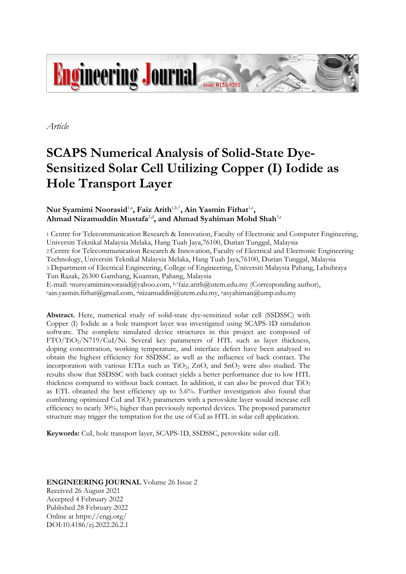

*Article*

# **SCAPS Numerical Analysis of Solid-State Dye-Sensitized Solar Cell Utilizing Copper (I) Iodide as Hole Transport Layer**

## Nur Syamimi Noorasid<sup>1,a</sup>, Faiz Arith<sup>1,b,\*</sup>, Ain Yasmin Firhat<sup>1,c</sup>, **Ahmad Nizamuddin Mustafa**2,d **, and Ahmad Syahiman Mohd Shah**3,e

1 Centre for Telecommunication Research & Innovation, Faculty of Electronic and Computer Engineering, Universiti Teknikal Malaysia Melaka, Hang Tuah Jaya,76100, Durian Tunggal, Malaysia 2 Centre for Telecommunication Research & Innovation, Faculty of Electrical and Electronic Engineering Technology, Universiti Teknikal Malaysia Melaka, Hang Tuah Jaya,76100, Durian Tunggal, Malaysia 3 Department of Electrical Engineering, College of Engineering, Universiti Malaysia Pahang, Lebuhraya Tun Razak, 26300 Gambang, Kuantan, Pahang, Malaysia E-mail: <sup>a</sup>nursyamiminoorasid@yahoo.com, b.\*faiz.arith@utem.edu.my (Corresponding author),

 $\cdot$ ain.yasmin.firhat@gmail.com, dnizamuddin@utem.edu.my,  $\cdot$ asyahiman@ump.edu.my

**Abstract.** Here, numerical study of solid-state dye-sensitized solar cell (SSDSSC) with Copper (I) Iodide as a hole transport layer was investigated using SCAPS-1D simulation software. The complete simulated device structures in this project are composed of FTO/TiO2/N719/CuI/Ni. Several key parameters of HTL such as layer thickness, doping concentration, working temperature, and interface defect have been analysed to obtain the highest efficiency for SSDSSC as well as the influence of back contact. The incorporation with various ETLs such as  $TiO<sub>2</sub>$ , ZnO, and SnO<sub>2</sub> were also studied. The results show that SSDSSC with back contact yields a better performance due to low HTL thickness compared to without back contact. In addition, it can also be proved that  $TiO<sub>2</sub>$ as ETL obtained the best efficiency up to 5.6%. Further investigation also found that combining optimized CuI and TiO<sup>2</sup> parameters with a perovskite layer would increase cell efficiency to nearly 30%, higher than previously reported devices. The proposed parameter structure may trigger the temptation for the use of CuI as HTL in solar cell application.

**Keywords:** CuI, hole transport layer, SCAPS-1D, SSDSSC, perovskite solar cell.

## **ENGINEERING JOURNAL** Volume 26 Issue 2 Received 26 August 2021 Accepted 4 February 2022 Published 28 February 2022 Online at https://engj.org/ DOI:10.4186/ej.2022.26.2.1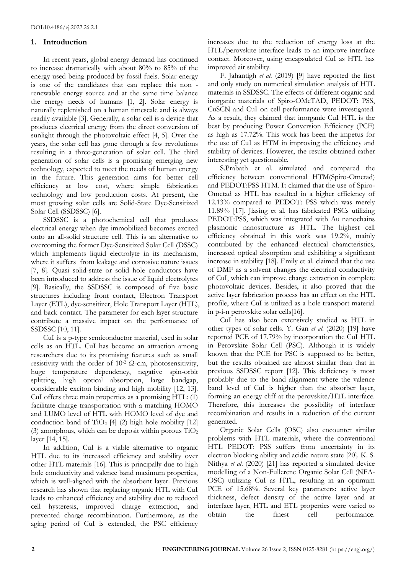## **1. Introduction**

In recent years, global energy demand has continued to increase dramatically with about 80% to 85% of the energy used being produced by fossil fuels. Solar energy is one of the candidates that can replace this non renewable energy source and at the same time balance the energy needs of humans [1, 2]. Solar energy is naturally replenished on a human timescale and is always readily available [3]. Generally, a solar cell is a device that produces electrical energy from the direct conversion of sunlight through the photovoltaic effect [4, 5]. Over the years, the solar cell has gone through a few revolutions resulting in a three-generation of solar cell. The third generation of solar cells is a promising emerging new technology, expected to meet the needs of human energy in the future. This generation aims for better cell efficiency at low cost, where simple fabrication technology and low production costs. At present, the most growing solar cells are Solid-State Dye-Sensitized Solar Cell (SSDSSC) [6].

SSDSSC is a photochemical cell that produces electrical energy when dye immobilized becomes excited onto an all-solid structure cell. This is an alternative to overcoming the former Dye-Sensitized Solar Cell (DSSC) which implements liquid electrolyte in its mechanism, where it suffers from leakage and corrosive nature issues [7, 8]. Quasi solid-state or solid hole conductors have been introduced to address the issue of liquid electrolytes [9]. Basically, the SSDSSC is composed of five basic structures including front contact, Electron Transport Layer (ETL), dye-sensitizer, Hole Transport Layer (HTL), and back contact. The parameter for each layer structure contribute a massive impact on the performance of SSDSSC [10, 11].

CuI is a p-type semiconductor material, used in solar cells as an HTL. CuI has become an attraction among researchers due to its promising features such as small resistivity with the order of  $10^{-2}$   $\Omega$ -cm, photosensitivity, huge temperature dependency, negative spin-orbit splitting, high optical absorption, large bandgap, considerable exciton binding and high mobility [12, 13]. CuI offers three main properties as a promising HTL: (1) facilitate charge transportation with a matching HOMO and LUMO level of HTL with HOMO level of dye and conduction band of  $TiO<sub>2</sub>$  [4] (2) high hole mobility [12] (3) amorphous, which can be deposit within porous  $TiO<sub>2</sub>$ layer [14, 15].

In addition, CuI is a viable alternative to organic HTL due to its increased efficiency and stability over other HTL materials [16]. This is principally due to high hole conductivity and valence band maximum properties, which is well-aligned with the absorbent layer. Previous research has shown that replacing organic HTL with CuI leads to enhanced efficiency and stability due to reduced cell hysteresis, improved charge extraction, and prevented charge recombination. Furthermore, as the aging period of CuI is extended, the PSC efficiency increases due to the reduction of energy loss at the HTL/perovskite interface leads to an improve interface contact. Moreover, using encapsulated CuI as HTL has improved air stability.

F. Jahantigh *et al.* (2019) [9] have reported the first and only study on numerical simulation analysis of HTL materials in SSDSSC. The effects of different organic and inorganic materials of Spiro-OMeTAD, PEDOT: PSS, CuSCN and CuI on cell performance were investigated. As a result, they claimed that inorganic CuI HTL is the best by producing Power Conversion Efficiency (PCE) as high as 17.72%. This work has been the impetus for the use of CuI as HTM in improving the efficiency and stability of devices. However, the results obtained rather interesting yet questionable.

S.Prabath et al. simulated and compared the efficiency between conventional HTM(Spiro-Ometad) and PEDOT:PSS HTM. It claimed that the use of Spiro-Ometad as HTL has resulted in a higher efficiency of 12.13% compared to PEDOT: PSS which was merely 11.89% [17]. Jiasing et al. has fabricated PSCs utilizing PEDOT:PSS, which was integrated with Au nanochains plasmonic nanostructure as HTL. The highest cell efficiency obtained in this work was 19.2%, mainly contributed by the enhanced electrical characteristics, increased optical absorption and exhibiting a significant increase in stability [18]. Emily et al. claimed that the use of DMF as a solvent changes the electrical conductivity of CuI, which can improve charge extraction in complete photovoltaic devices. Besides, it also proved that the active layer fabrication process has an effect on the HTL profile, where CuI is utilized as a hole transport material in p-i-n perovskite solar cells[16].

CuI has also been extensively studied as HTL in other types of solar cells. Y. Gan *et al.* (2020) [19] have reported PCE of 17.79% by incorporation the CuI HTL in Perovskite Solar Cell (PSC). Although it is widely known that the PCE for PSC is supposed to be better, but the results obtained are almost similar than that in previous SSDSSC report [12]. This deficiency is most probably due to the band alignment where the valence band level of CuI is higher than the absorber layer, forming an energy cliff at the perovskite/HTL interface. Therefore, this increases the possibility of interface recombination and results in a reduction of the current generated.

Organic Solar Cells (OSC) also encounter similar problems with HTL materials, where the conventional HTL PEDOT: PSS suffers from uncertainty in its electron blocking ability and acidic nature state [20]. K. S. Nithya *et al.* (2020) [21] has reported a simulated device modelling of a Non-Fullerene Organic Solar Cell (NFA-OSC) utilizing CuI as HTL, resulting in an optimum PCE of 15.68%. Several key parameters: active layer thickness, defect density of the active layer and at interface layer, HTL and ETL properties were varied to obtain the finest cell performance.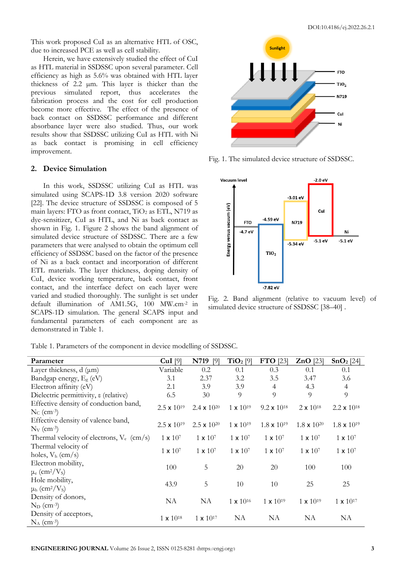This work proposed CuI as an alternative HTL of OSC, due to increased PCE as well as cell stability.

Herein, we have extensively studied the effect of CuI as HTL material in SSDSSC upon several parameter. Cell efficiency as high as 5.6% was obtained with HTL layer thickness of 2.2 µm. This layer is thicker than the previous simulated report, thus accelerates the fabrication process and the cost for cell production become more effective. The effect of the presence of back contact on SSDSSC performance and different absorbance layer were also studied. Thus, our work results show that SSDSSC utilizing CuI as HTL with Ni as back contact is promising in cell efficiency improvement.

## **2. Device Simulation**

In this work, SSDSSC utilizing CuI as HTL was simulated using SCAPS-1D 3.8 version 2020 software [22]. The device structure of SSDSSC is composed of 5 main layers: FTO as front contact,  $TiO<sub>2</sub>$  as ETL, N719 as dye-sensitizer, CuI as HTL, and Ni as back contact as shown in Fig. 1. Figure 2 shows the band alignment of simulated device structure of SSDSSC. There are a few parameters that were analysed to obtain the optimum cell efficiency of SSDSSC based on the factor of the presence of Ni as a back contact and incorporation of different ETL materials. The layer thickness, doping density of CuI, device working temperature, back contact, front contact, and the interface defect on each layer were varied and studied thoroughly. The sunlight is set under default illumination of AM1.5G, 100 MW.cm-2 in SCAPS-1D simulation. The general SCAPS input and fundamental parameters of each component are as demonstrated in Table 1.



Fig. 1. The simulated device structure of SSDSSC.



Fig. 2. Band alignment (relative to vacuum level) of simulated device structure of SSDSSC [38–40] .

| Parameter                                                          | $CuI$ [9]            | N719<br>[9]                   | $TiO2$ [9]         | FTO [23]             | $ZnO$ [23]           | SnO <sub>2</sub> [24]         |
|--------------------------------------------------------------------|----------------------|-------------------------------|--------------------|----------------------|----------------------|-------------------------------|
| Layer thickness, $d$ ( $\mu$ m)                                    | Variable             | 0.2                           | 0.1                | 0.3                  | 0.1                  | 0.1                           |
| Bandgap energy, $E_{\rm g}$ (eV)                                   | 3.1                  | 2.37                          | 3.2                | 3.5                  | 3.47                 | 3.6                           |
| Electron affinity (eV)                                             | 2.1                  | 3.9                           | 3.9                | $\overline{4}$       | 4.3                  | $\overline{4}$                |
| Dielectric permittivity, $\varepsilon$ (relative)                  | 6.5                  | 30                            | 9                  | $\overline{Q}$       | 9                    | 9                             |
| Effective density of conduction band,<br>$N_c$ (cm <sup>-3</sup> ) | $2.5 \times 10^{19}$ | 2.4 $\times$ 10 <sup>20</sup> | $1 \times 10^{19}$ | $9.2 \times 10^{18}$ | $2 \times 10^{18}$   | 2.2 $\times$ 10 <sup>18</sup> |
| Effective density of valence band,<br>$N_V$ (cm <sup>-3</sup> )    | $2.5 \times 10^{19}$ | $2.5 \times 10^{20}$          | $1 \times 10^{19}$ | $1.8 \times 10^{19}$ | $1.8 \times 10^{20}$ | $1.8 \times 10^{19}$          |
| Thermal velocity of electrons, $V_e$ (cm/s)                        | $1 \times 10^7$      | $1 \times 10^7$               | $1 \times 10^7$    | $1 \times 10^7$      | $1 \times 10^7$      | $1 \times 10^7$               |
| Thermal velocity of<br>holes, $V_h$ (cm/s)                         | $1 \times 10^7$      | $1 \times 10^7$               | $1 \times 10^7$    | $1 \times 10^7$      | $1 \times 10^7$      | $1 \times 10^7$               |
| Electron mobility,<br>$\mu_e$ (cm <sup>2</sup> /V <sub>s</sub> )   | 100                  | 5                             | 20                 | 20                   | 100                  | 100                           |
| Hole mobility,<br>$\mu_h$ (cm <sup>2</sup> /V <sub>s</sub> )       | 43.9                 | 5                             | 10                 | 10                   | 25                   | 25                            |
| Density of donors,<br>$N_D$ (cm <sup>-3</sup> )                    | <b>NA</b>            | NA                            | $1 \times 10^{16}$ | $1 \times 10^{19}$   | $1 \times 10^{19}$   | $1 \times 10^{17}$            |
| Density of acceptors,<br>$N_A$ (cm <sup>-3</sup> )                 | $1 \times 10^{18}$   | $1 \times 10^{17}$            | NA                 | NA                   | NA                   | NA                            |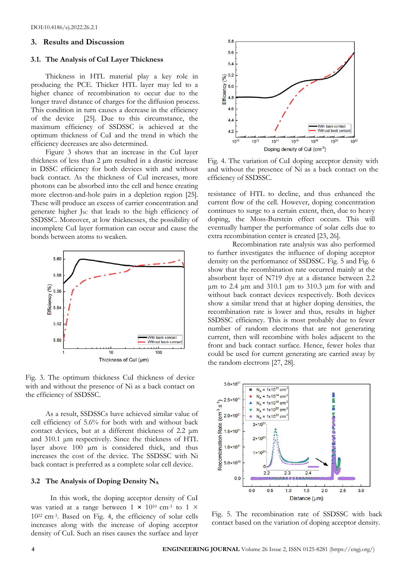#### **3. Results and Discussion**

#### **3.1. The Analysis of CuI Layer Thickness**

Thickness in HTL material play a key role in producing the PCE. Thicker HTL layer may led to a higher chance of recombination to occur due to the longer travel distance of charges for the diffusion process. This condition in turn causes a decrease in the efficiency of the device [25]. Due to this circumstance, the maximum efficiency of SSDSSC is achieved at the optimum thickness of CuI and the trend in which the efficiency decreases are also determined.

Figure 3 shows that an increase in the CuI layer thickness of less than 2 µm resulted in a drastic increase in DSSC efficiency for both devices with and without back contact. As the thickness of CuI increases, more photons can be absorbed into the cell and hence creating more electron-and-hole pairs in a depletion region [25]. These will produce an excess of carrier concentration and generate higher J<sub>SC</sub> that leads to the high efficiency of SSDSSC. Moreover, at low thicknesses, the possibility of incomplete CuI layer formation can occur and cause the bonds between atoms to weaken.



Fig. 3. The optimum thickness CuI thickness of device with and without the presence of Ni as a back contact on the efficiency of SSDSSC.

As a result, SSDSSCs have achieved similar value of cell efficiency of 5.6% for both with and without back contact devices, but at a different thickness of 2.2 μm and 310.1 μm respectively. Since the thickness of HTL layer above 100 µm is considered thick, and thus increases the cost of the device. The SSDSSC with Ni back contact is preferred as a complete solar cell device.

#### **3.2 The Analysis of Doping Density N<sup>A</sup>**

In this work, the doping acceptor density of CuI was varied at a range between  $1 \times 10^{10}$  cm<sup>-3</sup> to  $1 \times$ 10<sup>22</sup> cm-3 . Based on Fig. 4, the efficiency of solar cells increases along with the increase of doping acceptor density of CuI. Such an rises causes the surface and layer



Fig. 4. The variation of CuI doping acceptor density with and without the presence of Ni as a back contact on the efficiency of SSDSSC.

resistance of HTL to decline, and thus enhanced the current flow of the cell. However, doping concentration continues to surge to a certain extent, then, due to heavy doping, the Moss-Burstein effect occurs. This will eventually hamper the performance of solar cells due to extra recombination center is created [23, 26].

Recombination rate analysis was also performed to further investigates the influence of doping acceptor density on the performance of SSDSSC. Fig. 5 and Fig. 6 show that the recombination rate occurred mainly at the absorbent layer of N719 dye at a distance between 2.2 μm to 2.4 μm and 310.1 μm to 310.3 μm for with and without back contact devices respectively. Both devices show a similar trend that at higher doping densities, the recombination rate is lower and thus, results in higher SSDSSC efficiency. This is most probably due to fewer number of random electrons that are not generating current, then will recombine with holes adjacent to the front and back contact surface. Hence, fewer holes that could be used for current generating are carried away by the random electrons [27, 28].



Fig. 5. The recombination rate of SSDSSC with back contact based on the variation of doping acceptor density.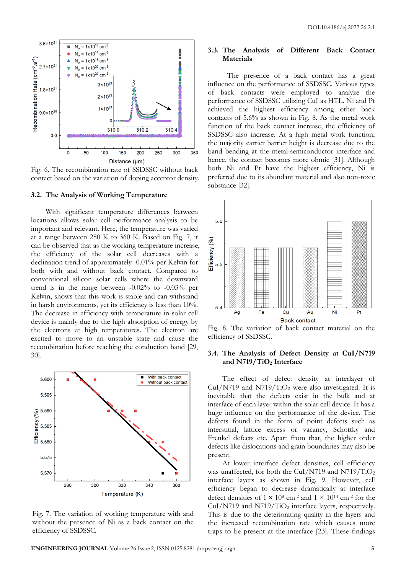

Fig. 6. The recombination rate of SSDSSC without back contact based on the variation of doping acceptor density.

#### **3.2. The Analysis of Working Temperature**

With significant temperature differences between locations allows solar cell performance analysis to be important and relevant. Here, the temperature was varied at a range between 280 K to 360 K. Based on Fig. 7, it can be observed that as the working temperature increase, the efficiency of the solar cell decreases with a declination trend of approximately -0.01% per Kelvin for both with and without back contact. Compared to conventional silicon solar cells where the downward trend is in the range between -0.02% to -0.03% per Kelvin, shows that this work is stable and can withstand in harsh environments, yet its efficiency is less than 10%. The decrease in efficiency with temperature in solar cell device is mainly due to the high absorption of energy by the electrons at high temperatures. The electron are excited to move to an unstable state and cause the recombination before reaching the conduction band [29, 30].



Fig. 7. The variation of working temperature with and without the presence of Ni as a back contact on the efficiency of SSDSSC.

## **3.3. The Analysis of Different Back Contact Materials**

The presence of a back contact has a great influence on the performance of SSDSSC. Various types of back contacts were employed to analyze the performance of SSDSSC utilizing CuI as HTL. Ni and Pt achieved the highest efficiency among other back contacts of 5.6% as shown in Fig. 8. As the metal work function of the back contact increase, the efficiency of SSDSSC also increase. At a high metal work function, the majority carrier barrier height is decrease due to the band bending at the metal-semiconductor interface and hence, the contact becomes more ohmic [31]. Although both Ni and Pt have the highest efficiency, Ni is preferred due to its abundant material and also non-toxic substance [32].



Fig. 8. The variation of back contact material on the efficiency of SSDSSC.

## **3.4. The Analysis of Defect Density at CuI/N719 and N719/TiO<sup>2</sup> Interface**

The effect of defect density at interlayer of  $CuI/N719$  and  $N719/TiO<sub>2</sub>$  were also investigated. It is inevitable that the defects exist in the bulk and at interface of each layer within the solar cell device. It has a huge influence on the performance of the device. The defects found in the form of point defects such as interstitial, lattice excess or vacancy, Schottky and Frenkel defects etc. Apart from that, the higher order defects like dislocations and grain boundaries may also be present.

At lower interface defect densities, cell efficiency was unaffected, for both the CuI/N719 and N719/TiO<sub>2</sub> interface layers as shown in Fig. 9. However, cell efficiency began to decrease dramatically at interface defect densities of  $1 \times 10^8$  cm<sup>-2</sup> and  $1 \times 10^{14}$  cm<sup>-2</sup> for the CuI/N719 and N719/TiO<sub>2</sub> interface layers, respectively. This is due to the deteriorating quality in the layers and the increased recombination rate which causes more traps to be present at the interface [23]. These findings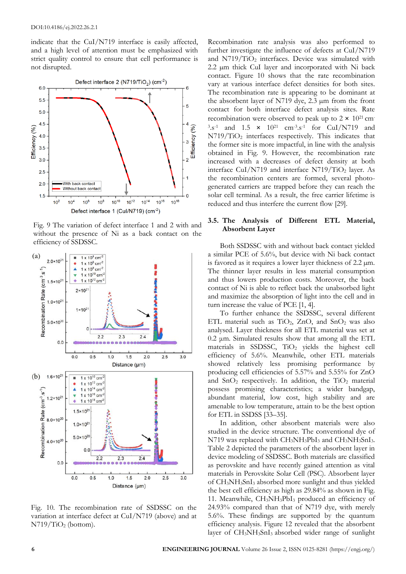indicate that the CuI/N719 interface is easily affected, and a high level of attention must be emphasized with strict quality control to ensure that cell performance is not disrupted.



Fig. 9 The variation of defect interface 1 and 2 with and without the presence of Ni as a back contact on the efficiency of SSDSSC.



Fig. 10. The recombination rate of SSDSSC on the variation at interface defect at CuI/N719 (above) and at N719/TiO<sup>2</sup> (bottom).

Recombination rate analysis was also performed to further investigate the influence of defects at CuI/N719 and  $N719/TiO<sub>2</sub>$  interfaces. Device was simulated with 2.2 µm thick CuI layer and incorporated with Ni back contact. Figure 10 shows that the rate recombination vary at various interface defect densities for both sites. The recombination rate is appearing to be dominant at the absorbent layer of N719 dye, 2.3 µm from the front contact for both interface defect analysis sites. Rate recombination were observed to peak up to  $2 \times 10^{21}$  cm- $3.5^{-1}$  and  $1.5 \times 10^{21}$  cm<sup>-3</sup>.s<sup>-1</sup> for CuI/N719 and  $N719/TiO<sub>2</sub>$  interfaces respectively. This indicates that the former site is more impactful, in line with the analysis obtained in Fig. 9. However, the recombination rate increased with a decreases of defect density at both interface CuI/N719 and interface  $N719/TiO<sub>2</sub>$  layer. As the recombination centers are formed, several photogenerated carriers are trapped before they can reach the solar cell terminal. As a result, the free carrier lifetime is reduced and thus interfere the current flow [29].

## **3.5. The Analysis of Different ETL Material, Absorbent Layer**

Both SSDSSC with and without back contact yielded a similar PCE of 5.6%, but device with Ni back contact is favored as it requires a lower layer thickness of 2.2 µm. The thinner layer results in less material consumption and thus lowers production costs. Moreover, the back contact of Ni is able to reflect back the unabsorbed light and maximize the absorption of light into the cell and in turn increase the value of PCE [1, 4].

To further enhance the SSDSSC, several different ETL material such as  $TiO<sub>2</sub>$ , ZnO, and SnO<sub>2</sub> was also analysed. Layer thickness for all ETL material was set at 0.2 μm. Simulated results show that among all the ETL materials in SSDSSC, TiO<sub>2</sub> yields the highest cell efficiency of 5.6%. Meanwhile, other ETL materials showed relatively less promising performance by producing cell efficiencies of 5.57% and 5.55% for ZnO and  $SnO<sub>2</sub>$  respectively. In addition, the TiO<sub>2</sub> material possess promising characteristics; a wider bandgap, abundant material, low cost, high stability and are amenable to low temperature, attain to be the best option for ETL in SSDSS [33–35].

In addition, other absorbent materials were also studied in the device structure. The conventional dye of  $N719$  was replaced with  $CH_3NH_3PbI_3$  and  $CH_3NH_3SnI_3$ . Table 2 depicted the parameters of the absorbent layer in device modeling of SSDSSC. Both materials are classified as perovskite and have recently gained attention as vital materials in Perovskite Solar Cell (PSC). Absorbent layer of CH3NH3SnI<sup>3</sup> absorbed more sunlight and thus yielded the best cell efficiency as high as 29.84% as shown in Fig. 11. Meanwhile,  $CH<sub>3</sub>NH<sub>3</sub>PbI<sub>3</sub>$  produced an efficiency of 24.93% compared than that of N719 dye, with merely 5.6%. These findings are supported by the quantum efficiency analysis. Figure 12 revealed that the absorbent layer of CH3NH3SnI3 absorbed wider range of sunlight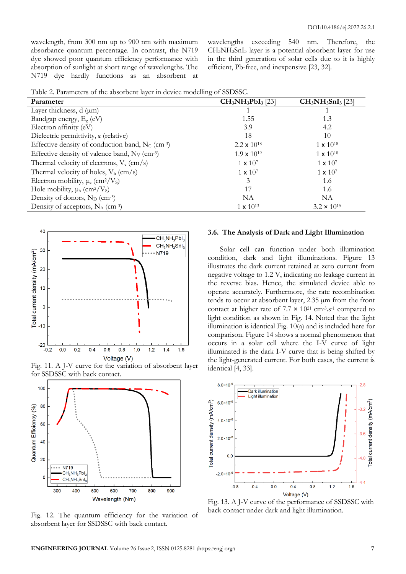wavelength, from 300 nm up to 900 nm with maximum absorbance quantum percentage. In contrast, the N719 dye showed poor quantum efficiency performance with absorption of sunlight at short range of wavelengths. The N719 dye hardly functions as an absorbent at

wavelengths exceeding 540 nm. Therefore, the CH3NH3SnI<sup>3</sup> layer is a potential absorbent layer for use in the third generation of solar cells due to it is highly efficient, Pb-free, and inexpensive [23, 32].

|  |  |  | Table 2. Parameters of the absorbent layer in device modelling of SSDSSC. |
|--|--|--|---------------------------------------------------------------------------|
|  |  |  |                                                                           |

| Parameter                                                       | $CH3NH3PbI3$ [23]             | $CH_3NH_3SnI_3$ [23] |
|-----------------------------------------------------------------|-------------------------------|----------------------|
| Layer thickness, $d$ ( $\mu$ m)                                 |                               |                      |
| Bandgap energy, $E_g$ (eV)                                      | 1.55                          | 1.3                  |
| Electron affinity (eV)                                          | 3.9                           | 4.2                  |
| Dielectric permittivity, $\varepsilon$ (relative)               | 18                            | 10                   |
| Effective density of conduction band, $N_c$ (cm <sup>-3</sup> ) | 2.2 $\times$ 10 <sup>18</sup> | $1 \times 10^{18}$   |
| Effective density of valence band, N <sub>v</sub> (cm-3)        | $1.9 \times 10^{19}$          | $1 \times 10^{18}$   |
| Thermal velocity of electrons, $V_e$ (cm/s)                     | $1 \times 10^7$               | $1 \times 10^{7}$    |
| Thermal velocity of holes, $V_h$ (cm/s)                         | $1 \times 10^{7}$             | $1 \times 10^7$      |
| Electron mobility, $\mu_e$ (cm <sup>2</sup> /V <sub>s</sub> )   | 3                             | 1.6                  |
| Hole mobility, $\mu_h$ (cm <sup>2</sup> /V <sub>s</sub> )       | 17                            | 1.6                  |
| Density of donors, $N_D$ (cm <sup>-3</sup> )                    | NA                            | NA                   |
| Density of acceptors, $N_A$ (cm <sup>-3</sup> )                 | $1 \times 10^{13}$            | $3.2 \times 10^{15}$ |



Fig. 11. A J-V curve for the variation of absorbent layer for SSDSSC with back contact.



Fig. 12. The quantum efficiency for the variation of absorbent layer for SSDSSC with back contact.

#### **3.6. The Analysis of Dark and Light Illumination**

Solar cell can function under both illumination condition, dark and light illuminations. Figure 13 illustrates the dark current retained at zero current from negative voltage to 1.2 V, indicating no leakage current in the reverse bias. Hence, the simulated device able to operate accurately. Furthermore, the rate recombination tends to occur at absorbent layer, 2.35 µm from the front contact at higher rate of  $7.7 \times 10^{21}$  cm<sup>-3</sup>.s<sup>-1</sup> compared to light condition as shown in Fig. 14. Noted that the light illumination is identical Fig. 10(a) and is included here for comparison. Figure 14 shows a normal phenomenon that occurs in a solar cell where the I-V curve of light illuminated is the dark I-V curve that is being shifted by the light-generated current. For both cases, the current is identical [4, 33].



Fig. 13. A J-V curve of the performance of SSDSSC with back contact under dark and light illumination.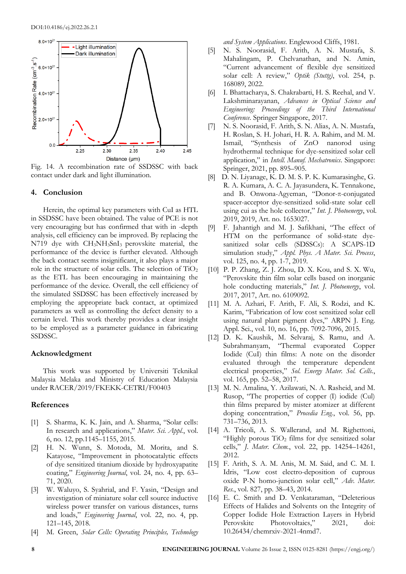

Fig. 14. A recombination rate of SSDSSC with back contact under dark and light illumination.

#### **4. Conclusion**

Herein, the optimal key parameters with CuI as HTL in SSDSSC have been obtained. The value of PCE is not very encouraging but has confirmed that with in -depth analysis, cell efficiency can be improved. By replacing the N719 dye with CH3NH3SnI3 perovskite material, the performance of the device is further elevated. Although the back contact seems insignificant, it also plays a major role in the structure of solar cells. The selection of  $TiO<sub>2</sub>$ as the ETL has been encouraging in maintaining the performance of the device. Overall, the cell efficiency of the simulated SSDSSC has been effectively increased by employing the appropriate back contact, at optimized parameters as well as controlling the defect density to a certain level. This work thereby provides a clear insight to be employed as a parameter guidance in fabricating SSDSSC.

## **Acknowledgment**

This work was supported by Universiti Teknikal Malaysia Melaka and Ministry of Education Malaysia under RACER/2019/FKEKK-CETRI/F00403

#### **References**

- [1] S. Sharma, K. K. Jain, and A. Sharma, "Solar cells: In research and applications," *Mater. Sci. Appl.*, vol. 6, no. 12, pp.1145–1155, 2015.
- [2] H. N. Wunn, S. Motoda, M. Morita, and S. Katayose, "Improvement in photocatalytic effects of dye sensitized titanium dioxide by hydroxyapatite coating," *Engineering Journal*, vol. 24, no. 4, pp. 63– 71, 2020.
- [3] W. Waluyo, S. Syahrial, and F. Yasin, "Design and investigation of miniature solar cell source inductive wireless power transfer on various distances, turns and loads," *Engineering Journal*, vol. 22, no. 4, pp. 121–145, 2018.
- [4] M. Green, *Solar Cells: Operating Principles, Technology*

*and System Applications*. Englewood Cliffs, 1981.

- [5] N. S. Noorasid, F. Arith, A. N. Mustafa, S. Mahalingam, P. Chelvanathan, and N. Amin, "Current advancement of flexible dye sensitized solar cell: A review," *Optik (Stuttg)*, vol. 254, p. 168089, 2022.
- [6] I. Bhattacharya, S. Chakrabarti, H. S. Reehal, and V. Lakshminarayanan, *Advances in Optical Science and Engineering: Proceedings of the Third International Conference*. Springer Singapore, 2017.
- [7] N. S. Noorasid, F. Arith, S. N. Alias, A. N. Mustafa, H. Roslan, S. H. Johari, H. R. A. Rahim, and M. M. Ismail, "Synthesis of ZnO nanorod using hydrothermal technique for dye-sensitized solar cell application," in *Intell. Manuf. Mechatronics*. Singapore: Springer, 2021, pp. 895–905.
- [8] D. N. Liyanage, K. D. M. S. P. K. Kumarasinghe, G. R. A. Kumara, A. C. A. Jayasundera, K. Tennakone, and B. Onwona-Agyeman, "Donor-π-conjugated spacer-acceptor dye-sensitized solid-state solar cell using cui as the hole collector," *Int. J. Photoenergy*, vol. 2019, 2019, Art. no. 1653027.
- [9] F. Jahantigh and M. J. Safikhani, "The effect of HTM on the performance of solid-state dyesanitized solar cells (SDSSCs): A SCAPS-1D simulation study," *Appl. Phys. A Mater. Sci. Process*, vol. 125, no. 4, pp. 1-7, 2019.
- [10] P. P. Zhang, Z. J. Zhou, D. X. Kou, and S. X. Wu, "Perovskite thin film solar cells based on inorganic hole conducting materials," *Int. J. Photoenergy*, vol. 2017, 2017, Art. no. 6109092.
- [11] M. A. Azhari, F. Arith, F. Ali, S. Rodzi, and K. Karim, "Fabrication of low cost sensitized solar cell using natural plant pigment dyes," ARPN J. Eng. Appl. Sci., vol. 10, no. 16, pp. 7092-7096, 2015.
- [12] D. K. Kaushik, M. Selvaraj, S. Ramu, and A. Subrahmanyam, "Thermal evaporated Copper Iodide (CuI) thin films: A note on the disorder evaluated through the temperature dependent electrical properties," *Sol. Energy Mater. Sol. Cells.*, vol. 165, pp. 52–58, 2017.
- [13] M. N. Amalina, Y. Azilawati, N. A. Rasheid, and M. Rusop, "The properties of copper (I) iodide (Cul) thin films prepared by mister atomizer at different doping concentration," *Procedia Eng.*, vol. 56, pp. 731–736, 2013.
- [14] A. Tricoli, A. S. Wallerand, and M. Righettoni, "Highly porous  $TiO<sub>2</sub>$  films for dye sensitized solar cells," *J. Mater. Chem.*, vol. 22, pp. 14254–14261, 2012.
- [15] F. Arith, S. A. M. Anis, M. M. Said, and C. M. I. Idris, "Low cost electro-deposition of cuprous oxide P-N homo-junction solar cell," *Adv. Mater. Res.*, vol. 827, pp. 38–43, 2014.
- [16] E. C. Smith and D. Venkataraman, "Deleterious Effects of Halides and Solvents on the Integrity of Copper Iodide Hole Extraction Layers in Hybrid Perovskite Photovoltaics," 2021, doi: 10.26434/chemrxiv-2021-4nmd7.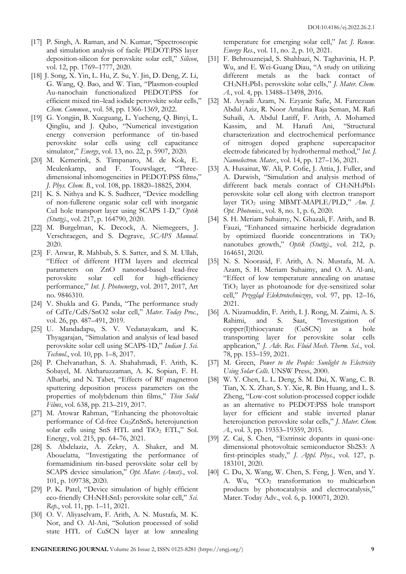- [17] P. Singh, A. Raman, and N. Kumar, "Spectroscopic and simulation analysis of facile PEDOT:PSS layer deposition-silicon for perovskite solar cell," *Silicon*, vol. 12, pp. 1769–1777, 2020.
- [18] J. Song, X. Yin, L. Hu, Z. Su, Y. Jin, D. Deng, Z. Li, G. Wang, Q. Bao, and W. Tian, "Plasmon-coupled Au-nanochain functionalized PEDOT:PSS for efficient mixed tin–lead iodide perovskite solar cells," *Chem. Commun.*, vol. 58, pp. 1366-1369, 2022.
- [19] G. Yongjin, B. Xueguang, L. Yucheng, Q. Binyi, L. Qingliu, and J. Qubo, "Numerical investigation energy conversion performance of tin-based perovskite solar cells using cell capacitance simulator," *Energy*, vol. 13, no. 22, p. 5907, 2020.
- [20] M. Kemerink, S. Timpanaro, M. de Kok, E. Meulenkamp, and F. Touwslager, "Threedimensional inhomogeneities in PEDOT:PSS films," *J. Phys. Chem. B.*, vol. 108, pp. 18820–18825, 2004.
- [21] K. S. Nithya and K. S. Sudheer, "Device modelling of non-fullerene organic solar cell with inorganic CuI hole transport layer using SCAPS 1-D," *Optik (Stuttg).*, vol. 217, p. 164790, 2020.
- [22] M. Burgelman, K. Decock, A. Niemegeers, J. Verschraegen, and S. Degrave, *SCAPS Manual*. 2020.
- [23] F. Anwar, R. Mahbub, S. S. Satter, and S. M. Ullah, "Effect of different HTM layers and electrical parameters on ZnO nanorod-based lead-free perovskite solar cell for high-efficiency performance," *Int. J. Photoenergy*, vol. 2017, 2017, Art no. 9846310.
- [24] V. Shukla and G. Panda, "The performance study of CdTe/CdS/SnO2 solar cell," *Mater. Today Proc.*, vol. 26, pp. 487–491, 2019.
- [25] U. Mandadapu, S. V. Vedanayakam, and K. Thyagarajan, "Simulation and analysis of lead based perovskite solar cell using SCAPS-1D," *Indian J. Sci. Technol.*, vol. 10, pp. 1–8, 2017.
- [26] P. Chelvanathan, S. A. Shahahmadi, F. Arith, K. Sobayel, M. Aktharuzzaman, A. K. Sopian, F. H. Alharbi, and N. Tabet, "Effects of RF magnetron sputtering deposition process parameters on the properties of molybdenum thin films," *Thin Solid Films*, vol. 638, pp. 213–219, 2017.
- [27] M. Atowar Rahman, "Enhancing the photovoltaic performance of Cd-free Cu<sub>2</sub>ZnSnS<sub>4</sub> heterojunction solar cells using SnS HTL and TiO<sub>2</sub> ETL," Sol. Energy, vol. 215, pp. 64–76, 2021.
- [28] S. Abdelaziz, A. Zekry, A. Shaker, and M. Abouelatta, "Investigating the performance of formamidinium tin-based perovskite solar cell by SCAPS device simulation," *Opt. Mater. (Amst).*, vol. 101, p. 109738, 2020.
- [29] P. K. Patel, "Device simulation of highly efficient eco-friendly CH3NH3SnI<sup>3</sup> perovskite solar cell," *Sci. Rep.*, vol. 11, pp. 1–11, 2021.
- [30] O. V. Aliyaselvam, F. Arith, A. N. Mustafa, M. K. Nor, and O. Al-Ani, "Solution processed of solid state HTL of CuSCN layer at low annealing

temperature for emerging solar cell," *Int. J. Renew. Energy Res.*, vol. 11, no. 2, p. 10, 2021.

- [31] F. Behrouznejad, S. Shahbazi, N. Taghavinia, H. P. Wu, and E. Wei-Guang Diau, "A study on utilizing different metals as the back contact of CH3NH3PbI<sup>3</sup> perovskite solar cells," *J. Mater. Chem. A.*, vol. 4, pp. 13488–13498, 2016.
- [32] M. Asyadi Azam, N. Ezyanie Safie, M. Fareezuan Abdul Aziz, R. Noor Amalina Raja Seman, M. Rafi Suhaili, A. Abdul Latiff, F. Arith, A. Mohamed Kassim, and M. Hanafi Ani, "Structural characterization and electrochemical performance of nitrogen doped graphene supercapacitor electrode fabricated by hydrothermal method," *Int. J. Nanoelectron. Mater.*, vol. 14, pp. 127–136, 2021.
- [33] A. Husainat, W. Ali, P. Cofie, J. Attia, J. Fuller, and A. Darwish, "Simulation and analysis method of different back metals contact of CH3NH3PbI3 perovskite solar cell along with electron transport layer TiO<sub>2</sub> using MBMT-MAPLE/PLD," *Am.* J. *Opt. Photonics.*, vol. 8, no. 1, p. 6, 2020.
- [34] S. H. Meriam Suhaimy, N. Ghazali, F. Arith, and B. Fauzi, "Enhanced simazine herbicide degradation by optimized fluoride concentrations in  $TiO<sub>2</sub>$ nanotubes growth," *Optik (Stuttg).*, vol. 212, p. 164651, 2020.
- [35] N. S. Noorasid, F. Arith, A. N. Mustafa, M. A. Azam, S. H. Meriam Suhaimy, and O. A. Al-ani, "Effect of low temperature annealing on anatase TiO<sup>2</sup> layer as photoanode for dye-sensitized solar cell," *Przegląd Elektrotechniczny*, vol. 97, pp. 12–16, 2021.
- [36] A. Nizamuddin, F. Arith, I. J. Rong, M. Zaimi, A. S. Rahimi, and S. Saat, "Investigation of copper(I)thiocyanate (CuSCN) as a hole transporting layer for perovskite solar cells application," *J. Adv. Res. Fluid Mech. Therm. Sci.*, vol. 78, pp. 153–159, 2021.
- [37] M. Green, *Power to the People: Sunlight to Electricity Using Solar Cells*. UNSW Press, 2000.
- [38] W. Y. Chen, L. L. Deng, S. M. Dai, X. Wang, C. B. Tian, X. X. Zhan, S. Y. Xie, R. Bin Huang, and L. S. Zheng, "Low-cost solution-processed copper iodide as an alternative to PEDOT:PSS hole transport layer for efficient and stable inverted planar heterojunction perovskite solar cells," *J. Mater. Chem. A.*, vol. 3, pp. 19353–19359, 2015.
- [39] Z. Cai, S. Chen, "Extrinsic dopants in quasi-onedimensional photovoltaic semiconductor Sb2S3: A first-principles study," *J. Appl. Phys.*, vol. 127, p. 183101, 2020.
- [40] C. Du, X. Wang, W. Chen, S. Feng, J. Wen, and Y. A. Wu, "CO<sup>2</sup> transformation to multicarbon products by photocatalysis and electrocatalysis," Mater. Today Adv., vol. 6, p. 100071, 2020.